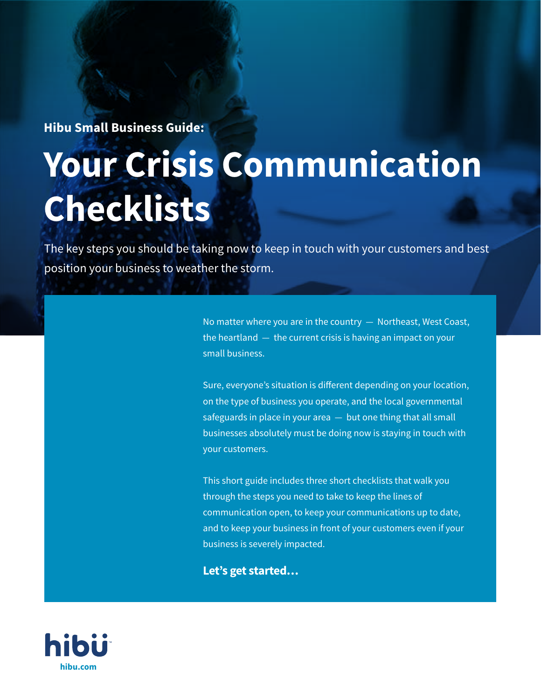**Hibu Small Business Guide:**

# **Your Crisis Communication Checklists**

The key steps you should be taking now to keep in touch with your customers and best position your business to weather the storm.

> No matter where you are in the country — Northeast, West Coast, the heartland — the current crisis is having an impact on your small business.

> Sure, everyone's situation is different depending on your location, on the type of business you operate, and the local governmental safeguards in place in your area — but one thing that all small businesses absolutely must be doing now is staying in touch with your customers.

This short guide includes three short checklists that walk you through the steps you need to take to keep the lines of communication open, to keep your communications up to date, and to keep your business in front of your customers even if your business is severely impacted.

**Let's get started…**

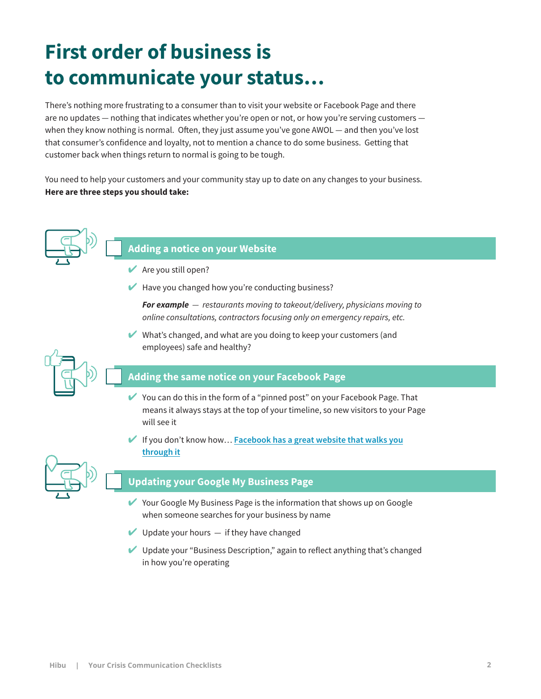# **First order of business is to communicate your status…**

There's nothing more frustrating to a consumer than to visit your website or Facebook Page and there are no updates — nothing that indicates whether you're open or not, or how you're serving customers when they know nothing is normal. Often, they just assume you've gone AWOL — and then you've lost that consumer's confidence and loyalty, not to mention a chance to do some business. Getting that customer back when things return to normal is going to be tough.

You need to help your customers and your community stay up to date on any changes to your business. **Here are three steps you should take:** 



### **Adding a notice on your Website**

- $\blacktriangleright$  Are you still open?
- $\blacktriangleright$  Have you changed how you're conducting business?

*For example — restaurants moving to takeout/delivery, physicians moving to online consultations, contractors focusing only on emergency repairs, etc.*

✔ What's changed, and what are you doing to keep your customers (and employees) safe and healthy?



#### **Adding the same notice on your Facebook Page**

- You can do this in the form of a "pinned post" on your Facebook Page. That means it always stays at the top of your timeline, so new visitors to your Page will see it
- ✔ If you don't know how… **[Facebook has a great website that walks you](https://www.facebook.com/help/235598533193464)  [through it](https://www.facebook.com/help/235598533193464)**



#### **Updating your Google My Business Page**

- $\vee$  Your Google My Business Page is the information that shows up on Google when someone searches for your business by name
- $\vee$  Update your hours  $-$  if they have changed
- Update your "Business Description," again to reflect anything that's changed in how you're operating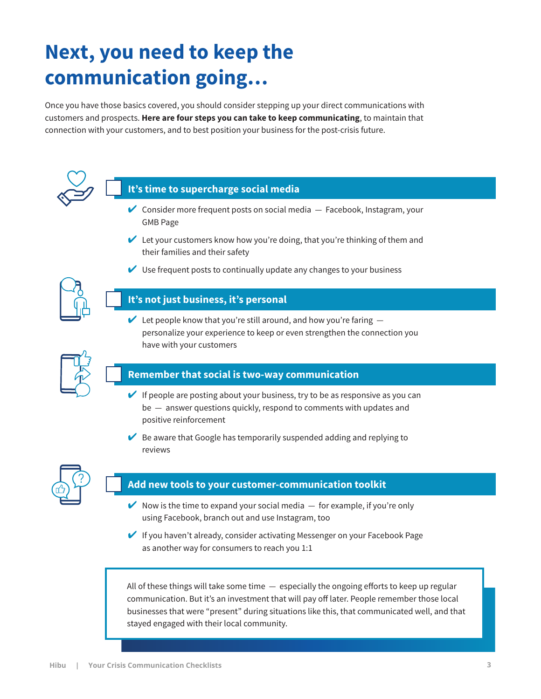# **Next, you need to keep the communication going…**

Once you have those basics covered, you should consider stepping up your direct communications with customers and prospects. **Here are four steps you can take to keep communicating**, to maintain that connection with your customers, and to best position your business for the post-crisis future.



- $\vee$  Consider more frequent posts on social media  $-$  Facebook, Instagram, your GMB Page
- $\blacktriangleright$  Let your customers know how you're doing, that you're thinking of them and their families and their safety
- $\vee$  Use frequent posts to continually update any changes to your business



#### **It's not just business, it's personal**

 $\vee$  Let people know that you're still around, and how you're faring  $$ personalize your experience to keep or even strengthen the connection you have with your customers



#### **Remember that social is two-way communication**

- $\blacktriangleright$  If people are posting about your business, try to be as responsive as you can be — answer questions quickly, respond to comments with updates and positive reinforcement
- $\vee$  Be aware that Google has temporarily suspended adding and replying to reviews



#### **Add new tools to your customer-communication toolkit**

- $\blacktriangleright$  Now is the time to expand your social media  $-$  for example, if you're only using Facebook, branch out and use Instagram, too
- $\blacktriangleright$  If you haven't already, consider activating Messenger on your Facebook Page as another way for consumers to reach you 1:1

All of these things will take some time  $-$  especially the ongoing efforts to keep up regular communication. But it's an investment that will pay off later. People remember those local businesses that were "present" during situations like this, that communicated well, and that stayed engaged with their local community.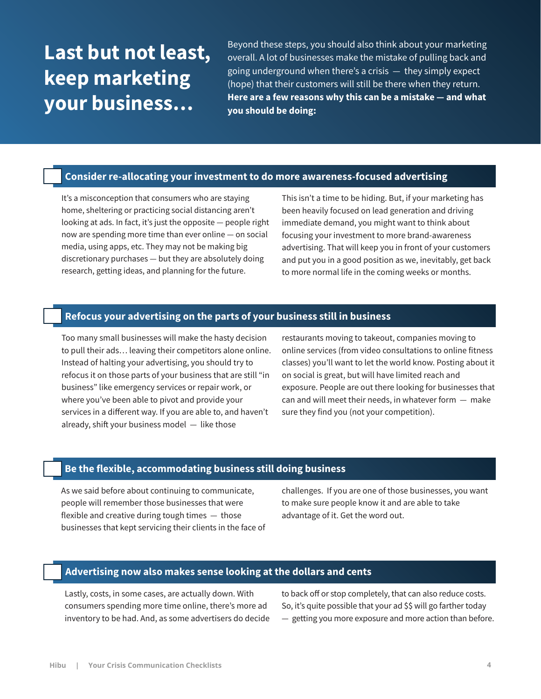### **Last but not least, keep marketing your business…**

Beyond these steps, you should also think about your marketing overall. A lot of businesses make the mistake of pulling back and going underground when there's a crisis — they simply expect (hope) that their customers will still be there when they return. **Here are a few reasons why this can be a mistake — and what you should be doing:**

#### **Consider re-allocating your investment to do more awareness-focused advertising**

It's a misconception that consumers who are staying home, sheltering or practicing social distancing aren't looking at ads. In fact, it's just the opposite — people right now are spending more time than ever online — on social media, using apps, etc. They may not be making big discretionary purchases — but they are absolutely doing research, getting ideas, and planning for the future.

This isn't a time to be hiding. But, if your marketing has been heavily focused on lead generation and driving immediate demand, you might want to think about focusing your investment to more brand-awareness advertising. That will keep you in front of your customers and put you in a good position as we, inevitably, get back to more normal life in the coming weeks or months.

#### **Refocus your advertising on the parts of your business still in business**

Too many small businesses will make the hasty decision to pull their ads… leaving their competitors alone online. Instead of halting your advertising, you should try to refocus it on those parts of your business that are still "in business" like emergency services or repair work, or where you've been able to pivot and provide your services in a different way. If you are able to, and haven't already, shift your business model  $-$  like those

restaurants moving to takeout, companies moving to online services (from video consultations to online fitness classes) you'll want to let the world know. Posting about it on social is great, but will have limited reach and exposure. People are out there looking for businesses that can and will meet their needs, in whatever form — make sure they find you (not your competition).

#### **Be the flexible, accommodating business still doing business**

As we said before about continuing to communicate, people will remember those businesses that were flexible and creative during tough times — those businesses that kept servicing their clients in the face of challenges. If you are one of those businesses, you want to make sure people know it and are able to take advantage of it. Get the word out.

#### **Advertising now also makes sense looking at the dollars and cents**

Lastly, costs, in some cases, are actually down. With consumers spending more time online, there's more ad inventory to be had. And, as some advertisers do decide to back off or stop completely, that can also reduce costs. So, it's quite possible that your ad \$\$ will go farther today — getting you more exposure and more action than before.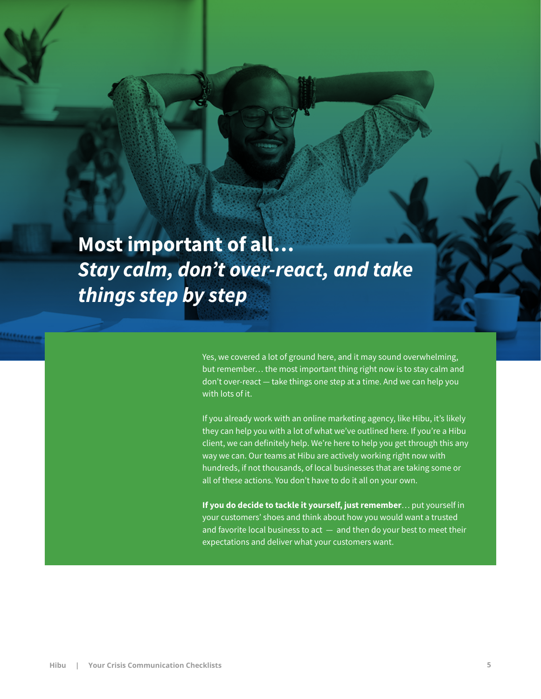**Most important of all…** *Stay calm, don't over-react, and take things step by step*

> Yes, we covered a lot of ground here, and it may sound overwhelming, but remember… the most important thing right now is to stay calm and don't over-react — take things one step at a time. And we can help you with lots of it.

If you already work with an online marketing agency, like Hibu, it's likely they can help you with a lot of what we've outlined here. If you're a Hibu client, we can definitely help. We're here to help you get through this any way we can. Our teams at Hibu are actively working right now with hundreds, if not thousands, of local businesses that are taking some or all of these actions. You don't have to do it all on your own.

**If you do decide to tackle it yourself, just remember**… put yourself in your customers' shoes and think about how you would want a trusted and favorite local business to act  $-$  and then do your best to meet their expectations and deliver what your customers want.